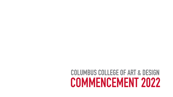# **COLUMBUS COLLEGE OF ART & DESIGN COLUMBUS COLLEGE OF ART & DESIGNCOMMENCEMENT 2022**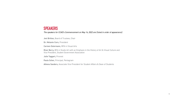#### **SPEAKERS**

*The speakers for CCAD's Commencement on May 14, 2022 are (listed in order of appearance):* 

**Jeni Britton,** Board of Trustees, Chair

**Dr. Melanie Corn,** President

**Carmen Ostermann,** MFA in Visual Arts

**River Berry,** BFA in Studio Art with an Emphasis in the History of Art & Visual Culture and Vice President, Student Government Association

**Julie Taggart,** Provost

**Paula Scher,** Principal, Pentagram

**Athena Sanders,** Associate Vice President for Student Affairs & Dean of Students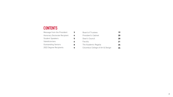# **CONTENTS**

| Message from the President          |   |
|-------------------------------------|---|
| <b>Honorary Doctorate Recipient</b> | 4 |
| <b>Student Speakers</b>             | 5 |
| Valedictorians                      | A |
| <b>Outstanding Seniors</b>          | Я |
| <b>2022 Degree Recipients</b>       |   |

| <b>Board of Trustees</b> |
|--------------------------|
|                          |

- President's Cabinet
- Dean's Council
- Faculty
- The Academic Regalia
- Columbus College of Art & Design
- **19 20 20 21 24**
- **24**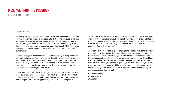## **MESSAGE FROM THE PRESIDENT**

DR. MELANIE CORN

Dear Graduates,

Today is your day. The day you and your loved ones have been anticipating for years. From late nights in the studio, to challenging critiques, to having your eyes opened to new ideas, you've done it. You've graduated. And you did this during a pandemic. You did it on Teams and Moodle, Google and Zoom, and, for a significant time during your education at CCAD, from home from behind screens, physically separated from your peers, your faculty, our campus.

Over this past year, you developed an incredible agility in using countless different tools and platforms. You gained flexibility and an ability to innovate with materials. You became a better communicator and collaborator. All of these freshly developed skills—added to the existing technical and conceptual strengths of your creative practice—have helped prepare you for the exciting and challenging time ahead.

I think often about our desire for things to return to "normal." But "normal" is the statistical average, not necessarily what is good or effective. What does that really mean? Do I really want things to get back to the way they were? Do you? Isn't this an opportunity to wish for something better?

So, as tired as we all are of talking about the pandemic, as often as we might wish to just get back to normal, I don't think "normal" is the answer. In fact, I think it's critical that we find the mental space, the emotional capacity, to learn from what we all just went through and move from this moment into a postpandemic "better than normal."

And I can't think of any better group of people to create a world that's better than normal. Artists and designers are changemakers. You get to create the future. Class of 2022, I encourage you to take advantage of the bonus skills that being educated during a pandemic gave you—but don't stop there. Make the most of what being able to be together, really be together, allows, and hang on to the grace you learned to give to yourself and others. If you're able to do that, something positive will have come from these tribulations. And, only then will you be able to move on, to embrace and make something far more spectacular than normal.

Warmest wishes,

Dr. Melanie Corn *President*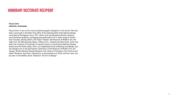4

### **HONORARY DOCTORATE RECIPIENT**

#### Paula Scher **PRINCIPAL, PENTAGRAM**

Paula Scher is one of the most acclaimed graphic designers in the world. She has been a principal in the New York office of the distinguished international design consultancy Pentagram since 1991, where she has designed identity systems, environmental graphics, packaging and publications for a wide range of clients that includes, among others, the Public Theater, the Museum of Modern Art, the High Line, the Metropolitan Opera, Tiffany & Co., Citibank and Microsoft. Scher has been the recipient of hundreds of industry honors including the National Design Award and the AIGA medal. She is an established artist exhibiting worldwide, and her designs are in the permanent collections of the Museum of Modern Art, the Cooper Hewitt National Design Museum, the Library of Congress, the Victoria and Albert Museum, and other institutions. A documentary on Scher and her work can be seen in the Netflix series "Abstract: The Art of Design."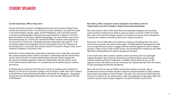#### **STUDENT SPEAKERS**

#### Carmen Ostermann, *MFA in Visual Arts*

Carmen Ostermann was born in Edgewood, Kentucky and has been finding homes around the world ever since. From family ties to job relocations, she spent her youth in the United States, Canada, Japan, and the Philippines. Due to an early interest in animals and photography, Ostermann pursued a bachelor's degree in Fine Arts with the ambition to become a wildlife photographer, but soon found a new love for three-dimensional art. In 2015, she received her BFA in ceramics and sculpture at the University of Cincinnati. A dedicated educator, Ostermann has taught K–12 art at multiple magnet and integration schools including the School for Creative and Performing Arts in Cincinnati, Ohio; Stivers School for the Arts in Dayton, Ohio; and A+ Children's Academy in Columbus, Ohio.

Ostermann works sculpturally using natural materials such as clay, fiber, and wood. Her practice explores ideas rooted in humanity's relationship with the environment, and her work is driven to combat habitat destruction and climate change with the inquiry of building respectful reciprocal relationships with the natural world. In her studio practice Ostermann is in constant pursuit of synthesizing art, science, and nature.

A lifelong learner, Ostermann felt the pull to return to academia and complete her Master's in Fine Arts at Columbus College of Art & Design in 2020. She is the recipient of the Wolfstein Travel Fellowship (Frankfurt, Germany), the Margaret L. Gongaware Scholarship, and the Windgate Scholarship. Her work has been featured at the Ohio Craft Museum.

#### River Berry, *BFA in Studio Art with an Emphasis in the History of Art & Visual Culture and Vice President, Student Government Association*

Born and raised in Akron, Ohio, River Berry first attended college at the University of Akron before transferring to CCAD to study art history in the fall of 2019. At CCAD, Berry fell in love with the college's dynamic art history curriculum, which allowed her to pursue her research interests as well as her studio art practice.

During her time at CCAD, Berry has explored curating, printmaking, fiber arts, and a host of other practices. Her senior thesis paper, "Crafting Identity: Contemporary Craft Arts Through Feminist Lenses," engages with the feminist legacies of craft in western society in order to honor other women artists. She presented her research at the SUNY New Paltz Undergraduate Art History Symposium this April.

In her studio work, Berry centers traditions while subverting them to investigate traditional gender roles, femimity, domesticity, and the domestic space through intimate, quilted portraits of loved ones. In addition, Berry works to carry on the legacies of past craft artists from her community by reusing materials from the studios of Sue Cavanaugh and Dorothy Gill Barnes.

Berry did not limit her time at CCAD to exclusively academic pursuits. She cofounded and led the Art History Student Collective and participated in CCAD's Student Government Association as Vice President. This year, she received the CCAD Gertrude Prize for Art History for her achievements. After her graduation in December 2022, she intends to pursue a dual master's degree in Curatorial Studies and Fine Arts.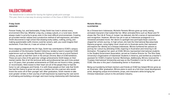### **VALEDICTORIANS**

*The Valedictorian is selected for having the highest grade point average. This year, there is a two-way tie among members of the Class of 2022 for this distinction.*

#### Friday Smith **ANIMATION**

Forever freaky, fun, and fashionable, Friday Smith has lived in almost every environment Ohio has. Whether a big city, a sleepy suburb, or a rural town, Smith always made it a priority to grow, even in the most difficult environmentals. Creating art provided mental release and a productive method of self-expression, and when Smith discovered in high school that drawing funky ladies, crafting, acting, and making questionable outfit choices could be careers, well, you could imagine their excitement. From then on, it was art school or bust.

Since stepping underneath the Art Sign, Smith has contributed to CCAD's campus as president of the Animation Student Collective, lended a hand in essential CCAD experiences such as Saturday Morning Art Classes and the one-of-a-kind Packard Library, as well as had their work in the annual *Chroma: Best of CCAD* exhibition. These are just a few of the gold-star college achievements Smith keeps on their mental mantle. But of all the technical skills and professional tips and tricks picked up in 3.5 years, their proudest achievements at CCAD are not found in titles, grades, or record books. Held closest to their heart are all of the people they've had the honor to call colleagues and friends. It is with these people at their side that Smith has had the chance to grow not only as a creative, but into a person who would knock the socks off of their younger self. After graduation, Smith intends to take even greater strides in their journey of self-expression by exploring the vast world of artmaking and building a stronger and more loving relationship with themselves.

#### Michelle Wirono **ILLUSTRATION**

As a Chinese-born Indonesian, Michelle Parwoto Wirono grew up rarely seeing animated characters that looked like her. When animated films such as *Mulan* and TV shows like The Life & Times of Juniper Lee debuted, she felt a sense of representation and recognition. However, Wirono has yet to see an Indonesian protagonist in a renowned animated movie. Her desire to spotlight less-portrayed Asian countries shaped her artistic journey. In high school, she took the International Baccalaureate Diploma program, using higher-level visual arts to illustrate works that represent and explore her identity as a Chinese-Indonesian. Wirono furthered her passion to portray her culture by attending CCAD, majoring in Illustration and minoring in 2D Animation. Throughout her years at CCAD, Wirono represented international students in the Student Government Association, served as Creative Director for The Ohio State University's Organization of Indonesian Students in America, and worked as a teacher's assistant for CCAD's Creative Summer Workshops. Additionally, Wirono received the Trustees International Scholarship and was on the President's List for all four years at CCAD. She also is this year's Outstanding Senior in Illustration.

Being surrounded by brilliant mentors and friends at CCAD has helped Wirono grow as an illustrator. After graduation, Wirono plans to work as a full-time visual development artist, designing unique environments, props, and characters while bringing her Chinese-Indonesian culture to the animation industry.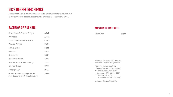# **2022 DEGREE RECIPIENTS**

*Please note: This is not an official list of graduates. Official degree status is in the permanent academic record maintained by the Registrar's Office.*

#### **BACHELOR OF FINE ARTS**

#### **MASTER OF FINE ARTS**

Visual Arts

*+ Denotes December 2021 graduate*

| <b>Advertising &amp; Graphic Design</b>                               | <b>ADVE</b> |
|-----------------------------------------------------------------------|-------------|
| Animation                                                             | <b>ANIM</b> |
| <b>Comics &amp; Narrative Practice</b>                                | <b>COMC</b> |
| <b>Fashion Design</b>                                                 | <b>FASH</b> |
| Film & Video                                                          | <b>FILM</b> |
| <b>Fine Arts</b>                                                      | <b>FINE</b> |
| <b>Illustration</b>                                                   | <b>ILLU</b> |
| <b>Industrial Design</b>                                              | <b>IDUS</b> |
| Interior Architecture & Design                                        | <b>INTE</b> |
| <b>Interior Design</b>                                                | <b>INTE</b> |
| Photography                                                           | <b>PHOT</b> |
| Studio Art with an Emphasis in<br>the History of Art & Visual Culture | <b>ARTH</b> |

- *++ Denotes August 2022 graduate*
- *\* Denotes summa cum laude (cumulative GPA of 3.8 or higher) \*\* Denotes magna cum laude (cumulative GPA of 3.6 to 3.79)*
- *\*\*\* Denotes cum laude (cumulative GPA of 3.4 to 3.59)*

*◊ Denotes Outstanding Senior*

**GRVA**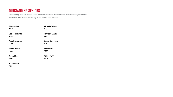#### **OUTSTANDING SENIORS**

*Outstanding Seniors are selected by faculty for their academic and artistic accomplishments. Visit ccad.edu/2022outstanding to read more about them.*

| <b>Alyssa Maul</b>                 | <b>Michelle Wirono</b>  |
|------------------------------------|-------------------------|
| <b>ADVE</b>                        | <b>ILLU</b>             |
| <b>Josie Renkwitz</b>              | <b>Harrison Landis</b>  |
| <b>ANIM</b>                        | <b>IDUS</b>             |
| <b>Bonnie Gumser</b>               | <b>Skylar Dalbenzio</b> |
| <b>COMC</b>                        | <b>INTE</b>             |
| <b>Austin Tootle</b>               | <b>Jamie Hoy</b>        |
| <b>FASH</b>                        | <b>PHOT</b>             |
| <b>Zarek Metz</b>                  | Ashli Towry             |
| <b>FILM</b>                        | <b>ARTH</b>             |
| <b>Yahfa Guerra</b><br><b>FINE</b> |                         |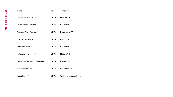09

| Name                         | Major       | Hometown                |
|------------------------------|-------------|-------------------------|
| Eric Tobias Victor Clift**   | <b>GRVA</b> | Moscow, OH              |
| <b>Jalisa Patrice Howard</b> | <b>GRVA</b> | Columbus, OH            |
| Nicholas Allen Johnson***    | <b>GRVA</b> | Huntington, WV          |
| Joshua Levi Morgan***        | <b>GRVA</b> | Norton, OH              |
| Carmen Ostermann*            | <b>GRVA</b> | Columbus, OH            |
| Haley Alexis Sipsock**       | <b>GRVA</b> | Medina, OH              |
| Samantha Shavanna Smallwood  | <b>GRVA</b> | Pikeville, KY           |
| Mia Isobel Smith*            | <b>GRVA</b> | Columbus, OH            |
| Yuqi Zhang***                | <b>GRVA</b> | Weihai, Shandong, China |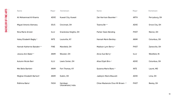| Name                          | Major       | Hometown                        | <b>Name</b>                      | Major       | Hometown       |
|-------------------------------|-------------|---------------------------------|----------------------------------|-------------|----------------|
| Ali Mohammad Al Khamis        | <b>ADVE</b> | Kuwait City, Kuwait             | Zak Harrison Baumker**           | <b>ARTH</b> | Perrysburg, OH |
| <b>Miguel Antonio Alemany</b> | <b>IDUS</b> | Cincinnati, OH                  | Teanna Be***                     | <b>ADVE</b> | Grove City, OH |
| Nina Marie Arnold             | ILLU        | Grandview Heights, OH           | Parker Owen Bending              | <b>PHOT</b> | Marion, OH     |
| Haley Elizabeth Bagby**       | <b>INTE</b> | Louisville, KY                  | Hannah Marie Bentley+            | <b>ANIM</b> | Columbus, OH   |
| Hannah Katherine Baisden***   | <b>FINE</b> | Mansfield, OH                   | Madison Lynn Berry**             | <b>PHOT</b> | Zanesville, OH |
| Jessica Ann Baker**           | <b>ANIM</b> | Wooster, OH                     | Alicia Sue Berry*                | <b>ILLU</b> | Westfield, IN  |
| <b>Autumn Nicole Barr</b>     | ILLU        | Lewis Center, OH                | Atlas Elijah Biro+*              | <b>ADVE</b> | Columbus, OH   |
| Mel Belle Bartlett+           | <b>ANIM</b> | Fort Thomas, KY                 | Quianna Marie Blanc**            | <b>INTE</b> | Laurel, MD     |
| Meghan Elizabeth Bartsch*     | <b>ANIM</b> | Dublin, OH                      | Jadelynn Marie Blauvelt          | <b>ADVE</b> | Lima, OH       |
| Ridhima Batra*                | <b>FASH</b> | Haridwar,<br>Uttarakhand, India | Chloe Mackenzie Chun Mi Brown+** | <b>PHOT</b> | Bexley, OH     |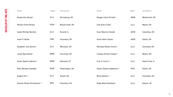| Name                          | Major       | Hometown         | Name                        | Major       | Hometown        |
|-------------------------------|-------------|------------------|-----------------------------|-------------|-----------------|
| Kaylee Ann Brown*             | ILLU        | Perrysburg, OH   | Reagan Carol Christie*      | <b>ANIM</b> | Westerville, OH |
| Marilyn Grace Brown           | <b>FASH</b> | Beavercreek, OH  | Cole Avery Clark            | <b>ILLU</b> | Mason, OH       |
| <b>Isaiah Michael Burdick</b> | ILLU        | Durand, IL       | <b>Evan Maurice Clewell</b> | <b>ADVE</b> | Columbus, OH    |
| Imani P. Burke                | <b>FINE</b> | Columbus, OH     | Hutch Allen Clipner         | <b>ADVE</b> | Dublin, OH      |
| Elizabeth June Burton*        | <b>ILLU</b> | Willowick, OH    | Michayla Renee Connor**     | <b>ILLU</b> | Cleveland, OH   |
| Jacob Ryan Butler*            | <b>ANIM</b> | Cincinnati, OH   | Lindsay Simone Cooper**     | <b>ILLU</b> | Belpre, OH      |
| Sarah Sophia Cabrera***       | <b>ANIM</b> | Pearland, TX     | Crys S. Currin***           | <b>ILLU</b> | Hazel Crest, IL |
| <b>Allen Michael Chandler</b> | ADVE        | Pickerington, OH | Skylar Destiny Dalbenzio*®  | <b>INTE</b> | Dublin, OH      |
| Angela Cho***                 | ILLU        | Duluth, GA       | Mona Danesh+**              | <b>ILLU</b> | Columbus, OH    |
| Autumn Renee Christensen***   | <b>INTE</b> | Columbus, OH     | Paige Marie Davidson*       | ILLU        | Auburn, IN      |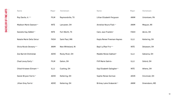| Name                           | Major       | Hometown          | <b>Name</b>                | Major       | Hometown       |
|--------------------------------|-------------|-------------------|----------------------------|-------------|----------------|
| Roy Davila Jr.***              | <b>FILM</b> | Raymondville, TX  | Lillian Elizabeth Ferguson | <b>ANIM</b> | Uniontown, PA  |
| <b>Madison Marie Dawson</b> ** | <b>INTE</b> | Lancaster, OH     | Annelise Noura Filali+*    | <b>ANIM</b> | Mequon, WI     |
| Danielle Kay DeBolt**          | <b>INTE</b> | Fort Worth, TX    | Calix Jace Franklin*       | <b>FASH</b> | Akron, OH      |
| Natalie Marie Della Selva*     | <b>FASH</b> | Saint Paul, MN    | Kayla Renee Freeman-Haynes | <b>ILLU</b> | Kettering, OH  |
| Olivia Nicole Deveary***       | <b>ANIM</b> | New Whiteland, IN | Bayli La'Rae Friz***       | <b>INTE</b> | Delaware, OH   |
| Zoe Barrett Drellishak         | <b>ADVE</b> | Rocky River, OH   | Maddie Renee Gabhart*      | <b>ILLU</b> | Gahanna, OH    |
| Chad Levoy Early**             | <b>FILM</b> | Galion, OH        | Fliff Marie Gahris+        | <b>ILLU</b> | Oxford, OH     |
| Chloé Kristeen Elimam***       | <b>ILLU</b> | Cushing, OH       | Gigi Elizabeth Gallagher** | <b>INTE</b> | Athens, OH     |
| Daniel Bryson Farris**         | ADVE        | Kettering, OH     | Sophie Renee Gorman        | <b>ADVE</b> | Cincinnati, OH |
| Jillian Grey Farris*           | ADVE        | Kettering, OH     | Britney Laine Grabarski**  | <b>ANIM</b> | Greensboro, MD |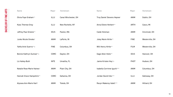| Name                       | Major       | Hometown             | Name                              | Major       | Hometown        |
|----------------------------|-------------|----------------------|-----------------------------------|-------------|-----------------|
| Olivia Faye Graham**       | ILLU        | Canal Winchester, OH | <b>Troy Daniel Stevens Hepner</b> | <b>ANIM</b> | Dublin, OH      |
| <b>Kass Therese Gray</b>   | ILLU        | New Rochelle, NY     | Anna Eilene Herbert**             | <b>ARTH</b> | Casco, MI       |
| Jeffrey Paul Greene**      | <b>IDUS</b> | Paxton, MA           | Caide Hickman                     | <b>ANIM</b> | Cincinnati, OH  |
| Junko Nicole Gresko*       | <b>ANIM</b> | LaPorte, IN          | Joley Marie Hirtle**              | <b>FINE</b> | Westerville, OH |
| Yahfa Ariel Guerra**o      | <b>FINE</b> | Columbus, OH         | Will Henry Hirtle**               | <b>FILM</b> | Westerville, OH |
| Bonnie Kathryn Gumser*     | <b>COMC</b> | Dayton, OH           | Gage Allen Holtz**                | <b>IDUS</b> | Hanover, OH     |
| Liz Hailey-Butti           | <b>INTE</b> | Umatilla, FL         | Jamie Kristen Hoy*o               | <b>PHOT</b> | Hudson, OH      |
| Natalie Rose Marie Haines* | <b>ANIM</b> | Plain Clty, OH       | Isabella Corrinne Iguchi***       | <b>ANIM</b> | Columbus, OH    |
| Hannah Grace Hampshire**   | <b>COMC</b> | Gahanna, OH          | Jordan David Inks***              | ILLU        | Galloway, OH    |
| Alyssea Ann-Marie Hart*    | <b>ANIM</b> | Toledo, OH           | Ravyn Makenzy Isbell***           | <b>ANIM</b> | Hilliard, OH    |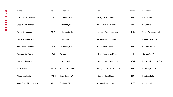| <b>Name</b>                  | Major       | Hometown               | <b>Name</b>                       | Major       | Hometown                |
|------------------------------|-------------|------------------------|-----------------------------------|-------------|-------------------------|
| Josiah Malik Jamison         | <b>FINE</b> | Columbus, OH           | Panagiota Kourniotis***           | <b>ILLU</b> | Boston, MA              |
| Jessica Erin Jarvis*         | <b>ILLU</b> | Hurricane, WV          | Amber Nicole Kovacs**             | <b>ANIM</b> | Columbus, OH            |
| Ariana L Johnson             | <b>ANIM</b> | Indianapolis, IN       | Harrison Jackson Landis*®         | <b>IDUS</b> | Canal Winchester, OH    |
| Samaria Nicole Jones*        | <b>ILLU</b> | Chillicothe, OH        | Nathan Robert Lanham***           | <b>COMC</b> | Pleasant Plain, OH      |
| Asa Robert Jordan*           | <b>IDUS</b> | Columbus, OH           | <b>Alex Michael Leber</b>         | <b>ILLU</b> | Centerburg, OH          |
| Anuraag Sai Kaloji           | <b>IDUS</b> | Ashburn, VA            | <b>Tiffany Nichole Lightfritz</b> | <b>ANIM</b> | Zanesville, OH          |
| <b>Gweneth Amiee Keith**</b> | <b>ILLU</b> | Newark, OH             | Sianiris Lopez-Velazquez*         | <b>ADVE</b> | Rio Grande, Puerto Rico |
| Jun Kim**                    | <b>ADVE</b> | Seoul, South Korea     | Evangeline Ophilia Mainard        | <b>ILLU</b> | Pickerington, OH        |
| Nicole Lee Klein             | <b>FASH</b> | <b>Black Creek, WI</b> | <b>Micaelyn Sirel Mann</b>        | ILLU        | Pittsburgh, PA          |
| Anna Elise Klingensmith*     | <b>ANIM</b> | Sunbury, OH            | Anthony Brett Martin**            | <b>INTE</b> | Ashland, OH             |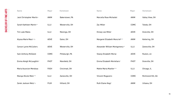| <b>Name</b>                   | Major       | Hometown        | Name                           | Major       | Hometown          |
|-------------------------------|-------------|-----------------|--------------------------------|-------------|-------------------|
| Jack Christopher Martin+      | <b>ANIM</b> | Bakerstown, PA  | Marcella Rose Michalski        | <b>ANIM</b> | Valley View, OH   |
| Sarah Kathleen Martin**       | <b>ILLU</b> | Westerville, OH | Zac Miller                     | <b>COMC</b> | Toledo, OH        |
| <b>Tim Luke Matos</b>         | ILLU        | Marengo, OH     | Kinsey Lee Miller              | <b>ADVE</b> | Granville, OH     |
| Alyssa Marie Maul+*o          | <b>ADVE</b> | Eaton, OH       | Margaret Elizabeth Moncrief*** | <b>ANIM</b> | Kettering, OH     |
| <b>Carson Lynne McCullers</b> | <b>ADVE</b> | Westerville, OH | Alexander William Montgomery** | <b>ILLU</b> | Zanesville, OH    |
| <b>Sam Anthony McDanel</b>    | <b>COMC</b> | Pittsburgh, PA  | <b>Stacey Elizabeth Morse</b>  | <b>ADVE</b> | Ruston, LA        |
| Emma Aleigh McLaughlin*       | <b>PHOT</b> | Mansfield, OH   | Emma Elizabeth Mortellaro*     | <b>PHOT</b> | Granville, OH     |
| <b>Maria Asuncion Mendoza</b> | <b>FASH</b> | Cincinnati, OH  | <b>Mattie Maria Mueller***</b> | <b>ILLU</b> | Chicago, IL       |
| Maraya Nicole Metz***         | <b>ILLU</b> | Zanesville, OH  | Vincent Mugavero               | <b>COMC</b> | Richmond Hill, GA |
| Zarek Jackson Metz*o          | <b>FILM</b> | Hilliard, OH    | Ruth Elaine Nogi*              | <b>ANIM</b> | Urbana, OH        |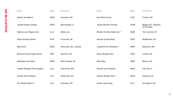| Name                            | Major       | Hometown                | <b>Name</b>                         | Major       | Hometown                              |
|---------------------------------|-------------|-------------------------|-------------------------------------|-------------|---------------------------------------|
| Rachel Joy Nyland*              | <b>ADVE</b> | Columbus, OH            | Kaci Marie Purdy                    | <b>FILM</b> | Trenton, OH                           |
| Joseph Gregory Olinger          | <b>ADVE</b> | Bloomington, IL         | Jacobo Ramírez Vizcaya              | <b>COMC</b> | Bogotá, D.C.; Republic<br>of Columbia |
| Sabrina Lami Pagliocchini       | ILLU        | Athens, AL              | <b>Brooke Christine Raterman***</b> | <b>ANIM</b> | Fort Loramie, OH                      |
| Kayla Shontay Palmer            | <b>FILM</b> | Cincinnati, OH          | Desiree Camille Reed                | <b>PHOT</b> | Middletown, OH                        |
| Bona Park*                      | <b>ADVE</b> | Vancouver, B.C., Canada | Josephine Ann Renkwitz*o            | <b>ANIM</b> | Baltimore, MD                         |
| Breanna Evelyn Paige Paxton     | <b>INTE</b> | Hamilton, OH            | Skylar Morgan Rice*                 | <b>FASH</b> | London, OH                            |
| <b>Madelaine Lee Peters</b>     | <b>ANIM</b> | West Chester, OH        | Mary Rigo+                          | <b>ANIM</b> | Mentor, OH                            |
| Lisbeth Margaret Petershagen*** | <b>ILLU</b> | Charleston, WV          | Hannah Lynn Rolando+                | ADVE        | Coal City, IL                         |
| <b>Carolyn Ellise Phillips</b>  | ILLU        | Painesville, OH         | Antonio Michael Sais***             | <b>ADVE</b> | Gahanna, OH                           |
| Eric Daniel Powers***           | ILLU        | Columbus, OH            | Hunter Izak Saling                  | ILLU        | Springboro, OH                        |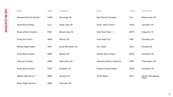| <b>Name</b>                   | Major       | Hometown             | <b>Name</b>                       | Major       | Hometown                       |
|-------------------------------|-------------|----------------------|-----------------------------------|-------------|--------------------------------|
| Maxwell McGinnis Schaller*    | COMC        | Hermitage, PA        | Ryan Patrick Thompson             | <b>ILLU</b> | Beavercreek, OH                |
| Sarah Nicole Schlup           | <b>ILLU</b> | Indian Lake, OH      | Austin James Tootle* <sup>o</sup> | <b>FASH</b> | Lancaster, OH                  |
| Brianna Marie Shawhan         | <b>FINE</b> | Beavercreek, OH      | Ashli Rose Towry+*o               | <b>ARTH</b> | Grapevine, TX                  |
| Friday Ann Smith+*            | <b>ANMI</b> | Warren, OH           | Drew Haley Toy***                 | <b>FINE</b> | Columbus, OH                   |
| <b>Whitley Paige Snyder**</b> | <b>INTE</b> | Canal Winchester, OH | Eric Tucker++                     | <b>IDUS</b> | Amanda, OK                     |
| <b>Vivian Nelson Squire</b>   | <b>ANIM</b> | Newark, OH           | Zachary Aaron Uhazy+**            | <b>ADVE</b> | Columbus, OH                   |
| Andi Lynn Sullivan            | <b>ANIM</b> | Sharonville, OH      | Alexandra Kathryn Valentino       | <b>FINE</b> | Pickerington, OH               |
| Elaine Nicole Sword**         | <b>PHOT</b> | Goodyear, AZ         | Kazamira Sonae Walker+            | <b>ADVE</b> | Columbus, OH                   |
| Maddy Leigh Syring+**         | <b>ANIM</b> | Sylvania, OH         | Xinran Wang                       | <b>IDUS</b> | Harbin, Heilongjiang,<br>China |
| Naomi Paige Thevenin          | <b>ANIM</b> | Columbus, OH         |                                   |             |                                |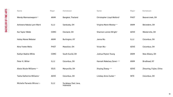| Name                        | Major       | Hometown                          | Name                       | Major       | Hometown                |
|-----------------------------|-------------|-----------------------------------|----------------------------|-------------|-------------------------|
| Wendy Wannasiwaporn**       | ANIM        | Bangkok, Thailand                 | Christopher Lloyd Wolford* | PHOT        | Beavercreek, OH         |
| Ashieana Nakala Lynn Ward   | ILLU        | Sandusky, OH                      | Virginia Marie Wooley***   | <b>ANIM</b> | Belvedere, OH           |
| Kai Taylor Webb             | <b>COMC</b> | Clevland, OH                      | Shannon Lorene Wright*     | ADVE        | Westerville, OH         |
| <b>Hailey Maree Webster</b> | ANIM        | Burlington, KY                    | Jenna Wu                   | ILLU        | Columbus, OH            |
| Nina Yvette Wells           | <b>PHOT</b> | Massillon, OH                     | Vivian Wu+                 | ADVE        | Columbus, OH            |
| Kaitlyn Nadine White        | <b>COMC</b> | South Euclid, OH                  | Joshua Peyton Young        | <b>ANIM</b> | New Albany, OH          |
| Peter K. White*             | <b>ILLU</b> | Columbus, OH                      | Hannah Makelsey Zanet+***  | <b>ANIM</b> | Brodhead, KY            |
| Alexis Nicole Williams***   | <b>IDUS</b> | Marysville, OH                    | Xinying Zhang+***          | ADVE        | Zhouning, Fujian, China |
| Tasha Katherine Williams*   | <b>ADVE</b> | Columbus, OH                      | Lindsey Anne Zucker**      | <b>INTE</b> | Columbus, OH            |
| Michelle Parwoto Wirono*    | <b>ILLU</b> | Surabaya, East Java,<br>Indonesia |                            |             |                         |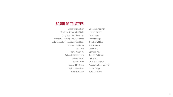19

#### **BOARD OF TRUSTEES**

Jeni Britton, Chair Susan D. Rector, Vice Chair Doug Klamfoth, Treasurer Saundra K. Schuster, Esq., Secretary John C. Beeler, Immediate Past Chair Michael Bongiorno Gil Cloyd Darci Congrove Robert E. Falcone, MD William Faust Corey Favor Leonard Hartman Leigh Householder Brett Kaufman Brian P. Kinzelman Urvi Patel Neil Shah

Michael Krouse Jana Litsey Pete Mattingly Timothy T. Miller A.J. Montero Jennifer Pick Tanisha Robinson Primus Suffren Jr. Andrew R. Summerfield Jonna Twigg R. Blane Walter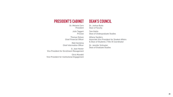# **PRESIDENT'S CABINET**

Dr. Melanie Corn President

> Julie Taggart Provost

Thomas Dotson Chief Financial Officer

Matt Gardzina Chief Information Officer

D. Jean Hester Vice President for Enrollment Management

Chris Mundell Vice President for Institutional Engagement

#### **DEAN'S COUNCIL**

Dr. Joshua Butts Dean of Faculty

Tom Gattis Dean of Undergraduate Studies

Athena Sanders Associate Vice President for Student Affairs & Dean of Students | Title IX Coordinator

Dr. Jennifer Schlueter Dean of Graduate Studies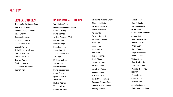#### **GRADUATE STUDIES**

Dr. Jennifer Schlueter, *Dean* **MASTER OF FINE ARTS** Julie Abijanac, *Acting Chair* David Cherry Rebecca Huntman Dr. Michael Kellner Dr. Jeannine Kraft Elaine Luttrull Kelly Malec-Kosak, *Chair*  Therese McCann Darren Lee Miller Charles Palmer Tim Rietenbach Dr. Jennifer Schlueter Sapna Singh

Charlotte Belland, *Chair* Mackenzie Bigley Tara DeFrancisco David DelBianco Andrew Friz Steven Hubbard Elizabeth Keegan Nikki Lemon Jason Mowry Tyler Newby Ron Price Rance Rizzutto Lucie Shearer Jamarr Threatt Allie Vanaman Jonathan Welch **FASHION DESIGN** Patricia Carlos Rachel Cass-Kauser Suzanne Cotton, *Chair* Celeste Malvar-Stewart Audrey Nicolas

Erica Rodney Cheryl Steele Suzanne Westrick **FILM & VIDEO** Cristyn Allen-Steward Jordan Bell Dem Lashawn Keilu Nella Citino, *Chair* Dylan Dyer Chris Freeman Stephanie Greegor Robin Gulcher William X. Lee Kingsley Nyarko Alexandra Stoia Pamela Theodotou **FINE ARTS** Elham Bayati Carol Griffith Bethany James John Kortlander Kathy McGhee, *Chair*

#### **FACULTY**

#### **UNDERGRADUATE STUDIES**

Tom Gattis, *Dean* **ADVERTISING & GRAPHIC DESIGN** Brandon Ballog David Bennett Joshua Bodman, *Chair* Brice Bunner Mark Burleigh Elliot Cennamo Shane Cornell Alenka De Los Rios Tim Frank Melissa Jackson James Lutz Matthew Mohr David Schirtzinger Aaron Searles Lydia Stutzman **ANIMATION** Nathan Adams Vincent Alexander Francis Amisola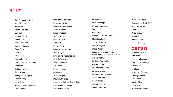#### **PHOTOGRAPHY** Brad Feinknopf Hiroshi Hayakawa Geren Heurtin Helen Hoffelt Darren Lee Miller, *Chair* Christiana Paolucci Jordanne Renner Duncan Snyder Claire Wiedman **STUDIO ART WITH AN EMPHASIS I N THE HISTORY OF ART & VISUAL CULTURE** Kristen Adams Dr. Carol Boram-Hays Kristen Brown Dr. Catherine Cupps Jennifer Evans Dr. Katherine Hammond Jessie Horning Kasey Jones Joanne Kesten Clayton Kindred

Dr. Robert Knotts Dr. Jeannine Kraft, *Chair* Dr. Aaron Petten Ann Shifflet Paige Shouvlin Sapna Singh Hannah Slater Elizabeth Trapp

#### **CORE STUDIES**

Lori Faist, *Director*  **CORE STUDIO** Melanie Albertson Amy Cubberly-Yeager Katie Davis Lori Faist Jacquelyn Fishburne Katheryn Fisher Alice Frenz Quintin Gleim Eric Homan Dr. Michael Kellner

#### **FACULTY**

Meredith Swortwood Benjamin Towle Nathaniel Underwood Brian Williams **INDUSTRIAL DESIGN** Jeffery Accursi David Burghy Tom Gattis Ludwin Mora Gregory Thune, *Chair* John Youger **INTERIOR ARCHITECTURE & DESIGN** Kelly DeVore, *Chair*  Joshua Hostetler Tim Jones Elizabeth Leidy Dan Mayer Joanna Rogers Maurshell Stokes Charmaine Sutton, *Acting Chair* Lara Alsoudani Weeks Jeff Wietryzkowski

Danielle Julian Norton Nate Ricciuto Gloria Shows Kaname Takada **ILLUSTRATION** Melanie Albertson John Cairns Maria Carluccio Emmalyn Gennis Thom Glick David Groff Amanda Ho Joseph Kovach Laurenn McCubbin, *Chair*  Julian Lee Richard McKinley Chris A. Morris Evangelia Philippidis Tiarra Ramey Mark Riedy Amanda Root-Thompson Lucie Shearer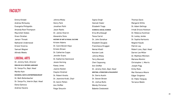Sapna Singh Hannah Slater Elizabeth Trapp **SCIENCE & SOCIAL SCIENCE** Erica Brumbaugh Tessa Carrel Dr. John Donahue Elizabeth Douglas Franchesca Druggan Nemat Khalil Karsten Look Johnna Miska Terry Monnett Cheri Sayavong Ann Shifflet Dr. Jeremy Stoll, *Dept. Head* **WRITING, LITERATURE & PHILOSOPHY** Dr. Sierra Austin Dr. Steven Brown Dr. Joshua Butts Wendy Chrisman Babette Cieskowski

Thomas Davis Margaret DiVito Dr. Adam Gellings Irmak Ertuna Howison Dr. Rebecca Huntman Dr. Lesley Jenike Dr. Sophia Kartsonis Negesti Kaudo Patrick Lay Robert Loss, *Dept. Head* Darren Lee Miller Dr. Matthew Mitchem Mariana Montini Christopher J. Morris Joseph Pigg Emily Rials Mar Romasco-Moore Edgar Singleton Dr. Pablo Tanguay Terrance Wedin

#### **FACULTY**

Johnna Miska Henry Park Jonathan Politi Jason Rawls Dr. James Sharvin Alexandra Stoia **HISTORY OF ART & VISUAL CULTURE** Kristen Adams Dr. Carol Boram-Hays Kristen Brown Dr. Catherine Cupps Jennifer Evans Dr. Katherine Hammond Jessie Horning Kasey Jones Joanne Kesten Clayton Kindred Dr. Robert Knotts Dr. Jeannine Kraft, *Chair* Dr. Aaron Petten Ann Shifflet Paige Shouvlin

Emma Kindall Andrew McCauley Evangelia Philippidis Amanda Root-Thompson Maurshell Stokes Grace Strattan Jamarr Threatt Nathaniel Underwood Ernest Viveiros Samuel Wagner Alfredo Weeks

#### **LIBERAL ARTS**

Dr. Jeremy Stoll, *Director* **ENGLISH AS A SECOND LANGUAGE** Dr. Sonya Fix, *Dept. Head* Mariko Kain **BUSINESS, MATH & ENTREPRENEURSHIP** Dr. Beth Bollenbacher Dr. Sonya Fix, *Interim Dept. Head* Elena Gamova Andrew Havens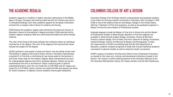# **THE ACADEMIC REGALIA COLUMBUS COLLEGE OF ART & DESIGN**

Academic apparel is a tradition in higher education dating back to the Middle Ages in Europe. The gown and hood provided warmth for scholars and clerics in unheated buildings. Over time, academic apparel for European institutions evolved into a complex code of dress for students and faculty.

CCAD follows the academic regalia code outlined by the American Council of Education. Gowns for the bachelor's degree are black; CCAD selected red for master's degree recipients. Both are untrimmed and made from earth-friendly material.

The color of the lining of the hood indicates the institution where an individual received his or her degree. The color of the edging of the hood and the tassel indicate the subject for the degree.

CCAD's bachelor's and master's hoods are lined in red, the official school color. The binding or edging of the hood is brown velvet or velveteen (representing a bachelor's in Fine Arts or Architecture), two inches wide for the bachelor's and three inches wide for the master's degree. Black mortarboards are worn for undergraduate degrees and red for graduate degrees. Tassels are brown, representing Fine Arts or Architecture. Honor cords are given in gold for outstanding seniors: silver for cum laude (3.4 to 3.59 GPA), teal for magna cum laude (3.6 to 3.79 GPA), red for summa cum laude (3.8 GPA and above), and white for honors students. In addition, honors students receive gold medallions.

Columbus College of Art & Design teaches undergraduate and graduate students in the midst of a thriving creative community in Columbus, Ohio. Founded in 1879, CCAD is one of the oldest private art and design colleges in the United States, offering 11 Bachelor of Fine Arts programs, as well as two graduate programs: a Master of Fine Arts and a Master of Professional Studies.

Graduate degrees include the Master of Fine Arts in Visual Arts and the Master of Professional Studies in Retail Design. Bachelor of Fine Arts degrees are available in Advertising & Graphic Design, Animation, Comics & Narrative Practice, Fashion Design, Film & Video, Fine Arts, Game Art & Design, Illustration, Industrial Design, Interior Architecture & Design, and Photography. To meet the requirements of CCAD's accrediting body and the Ohio Department of Education, students complete programs of study that include traditional academic coursework in general studies as well as extensive studio coursework.

CCAD's campus is located in the Discovery District area of downtown Columbus, so named for the many arts, cultural, and educational institutions located in the district. The campus is within walking distance of the Columbus Museum of Art, the Columbus Metropolitan Library, the Topiary Garden, and the Ohio Statehouse.